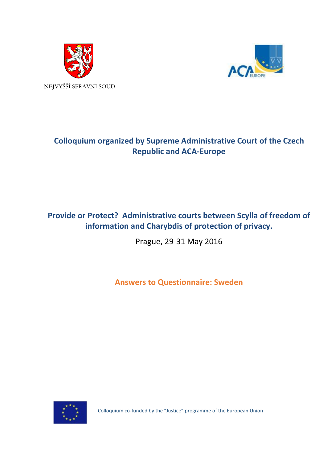



## **Colloquium organized by Supreme Administrative Court of the Czech Republic and ACA-Europe**

## **Provide or Protect? Administrative courts between Scylla of freedom of information and Charybdis of protection of privacy.**

Prague, 29-31 May 2016

**Answers to Questionnaire: Sweden**



Colloquium co-funded by the "Justice" programme of the European Union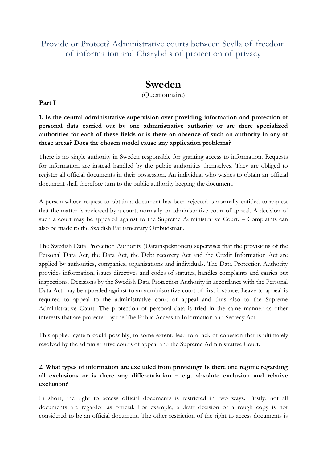Provide or Protect? Administrative courts between Scylla of freedom of information and Charybdis of protection of privacy

# **Sweden**

(Questionnaire)

**Part I**

**1. Is the central administrative supervision over providing information and protection of personal data carried out by one administrative authority or are there specialized authorities for each of these fields or is there an absence of such an authority in any of these areas? Does the chosen model cause any application problems?**

There is no single authority in Sweden responsible for granting access to information. Requests for information are instead handled by the public authorities themselves. They are obliged to register all official documents in their possession. An individual who wishes to obtain an official document shall therefore turn to the public authority keeping the document.

A person whose request to obtain a document has been rejected is normally entitled to request that the matter is reviewed by a court, normally an administrative court of appeal. A decision of such a court may be appealed against to the Supreme Administrative Court. – Complaints can also be made to the Swedish Parliamentary Ombudsman.

The Swedish Data Protection Authority (Datainspektionen) supervises that the provisions of the Personal Data Act, the Data Act, the Debt recovery Act and the Credit Information Act are applied by authorities, companies, organizations and individuals. The Data Protection Authority provides information, issues directives and codes of statutes, handles complaints and carries out inspections. Decisions by the Swedish Data Protection Authority in accordance with the Personal Data Act may be appealed against to an administrative court of first instance. Leave to appeal is required to appeal to the administrative court of appeal and thus also to the Supreme Administrative Court. The protection of personal data is tried in the same manner as other interests that are protected by the The Public Access to Information and Secrecy Act.

This applied system could possibly, to some extent, lead to a lack of cohesion that is ultimately resolved by the administrative courts of appeal and the Supreme Administrative Court.

### **2. What types of information are excluded from providing? Is there one regime regarding all exclusions or is there any differentiation – e.g. absolute exclusion and relative exclusion?**

In short, the right to access official documents is restricted in two ways. Firstly, not all documents are regarded as official. For example, a draft decision or a rough copy is not considered to be an official document. The other restriction of the right to access documents is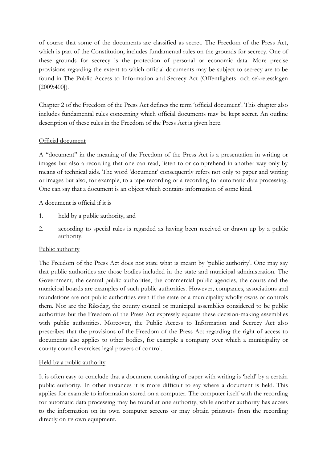of course that some of the documents are classified as secret. The Freedom of the Press Act, which is part of the Constitution, includes fundamental rules on the grounds for secrecy. One of these grounds for secrecy is the protection of personal or economic data. More precise provisions regarding the extent to which official documents may be subject to secrecy are to be found in The Public Access to Information and Secrecy Act (Offentlighets- och sekretesslagen [2009:400]).

Chapter 2 of the Freedom of the Press Act defines the term 'official document'. This chapter also includes fundamental rules concerning which official documents may be kept secret. An outline description of these rules in the Freedom of the Press Act is given here.

#### Official document

A "document" in the meaning of the Freedom of the Press Act is a presentation in writing or images but also a recording that one can read, listen to or comprehend in another way only by means of technical aids. The word 'document' consequently refers not only to paper and writing or images but also, for example, to a tape recording or a recording for automatic data processing. One can say that a document is an object which contains information of some kind.

A document is official if it is

- 1. held by a public authority, and
- 2. according to special rules is regarded as having been received or drawn up by a public authority.

#### Public authority

The Freedom of the Press Act does not state what is meant by 'public authority'. One may say that public authorities are those bodies included in the state and municipal administration. The Government, the central public authorities, the commercial public agencies, the courts and the municipal boards are examples of such public authorities. However, companies, associations and foundations are not public authorities even if the state or a municipality wholly owns or controls them. Nor are the Riksdag, the county council or municipal assemblies considered to be public authorities but the Freedom of the Press Act expressly equates these decision-making assemblies with public authorities. Moreover, the Public Access to Information and Secrecy Act also prescribes that the provisions of the Freedom of the Press Act regarding the right of access to documents also applies to other bodies, for example a company over which a municipality or county council exercises legal powers of control.

#### Held by a public authority

It is often easy to conclude that a document consisting of paper with writing is 'held' by a certain public authority. In other instances it is more difficult to say where a document is held. This applies for example to information stored on a computer. The computer itself with the recording for automatic data processing may be found at one authority, while another authority has access to the information on its own computer screens or may obtain printouts from the recording directly on its own equipment.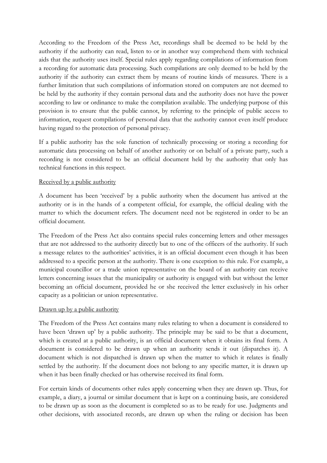According to the Freedom of the Press Act, recordings shall be deemed to be held by the authority if the authority can read, listen to or in another way comprehend them with technical aids that the authority uses itself. Special rules apply regarding compilations of information from a recording for automatic data processing. Such compilations are only deemed to be held by the authority if the authority can extract them by means of routine kinds of measures. There is a further limitation that such compilations of information stored on computers are not deemed to be held by the authority if they contain personal data and the authority does not have the power according to law or ordinance to make the compilation available. The underlying purpose of this provision is to ensure that the public cannot, by referring to the principle of public access to information, request compilations of personal data that the authority cannot even itself produce having regard to the protection of personal privacy.

If a public authority has the sole function of technically processing or storing a recording for automatic data processing on behalf of another authority or on behalf of a private party, such a recording is not considered to be an official document held by the authority that only has technical functions in this respect.

#### Received by a public authority

A document has been 'received' by a public authority when the document has arrived at the authority or is in the hands of a competent official, for example, the official dealing with the matter to which the document refers. The document need not be registered in order to be an official document.

The Freedom of the Press Act also contains special rules concerning letters and other messages that are not addressed to the authority directly but to one of the officers of the authority. If such a message relates to the authorities' activities, it is an official document even though it has been addressed to a specific person at the authority. There is one exception to this rule. For example, a municipal councillor or a trade union representative on the board of an authority can receive letters concerning issues that the municipality or authority is engaged with but without the letter becoming an official document, provided he or she received the letter exclusively in his orher capacity as a politician or union representative.

#### Drawn up by a public authority

The Freedom of the Press Act contains many rules relating to when a document is considered to have been 'drawn up' by a public authority. The principle may be said to be that a document, which is created at a public authority, is an official document when it obtains its final form. A document is considered to be drawn up when an authority sends it out (dispatches it). A document which is not dispatched is drawn up when the matter to which it relates is finally settled by the authority. If the document does not belong to any specific matter, it is drawn up when it has been finally checked or has otherwise received its final form.

For certain kinds of documents other rules apply concerning when they are drawn up. Thus, for example, a diary, a journal or similar document that is kept on a continuing basis, are considered to be drawn up as soon as the document is completed so as to be ready for use. Judgments and other decisions, with associated records, are drawn up when the ruling or decision has been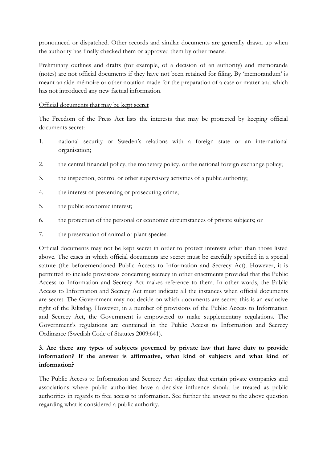pronounced or dispatched. Other records and similar documents are generally drawn up when the authority has finally checked them or approved them by other means.

Preliminary outlines and drafts (for example, of a decision of an authority) and memoranda (notes) are not official documents if they have not been retained for filing. By 'memorandum' is meant an aide-mémoire or other notation made for the preparation of a case or matter and which has not introduced any new factual information.

#### Official documents that may be kept secret

The Freedom of the Press Act lists the interests that may be protected by keeping official documents secret:

- 1. national security or Sweden's relations with a foreign state or an international organisation;
- 2. the central financial policy, the monetary policy, or the national foreign exchange policy;
- 3. the inspection, control or other supervisory activities of a public authority;
- 4. the interest of preventing or prosecuting crime;
- 5. the public economic interest;
- 6. the protection of the personal or economic circumstances of private subjects; or
- 7. the preservation of animal or plant species.

Official documents may not be kept secret in order to protect interests other than those listed above. The cases in which official documents are secret must be carefully specified in a special statute (the beforementioned Public Access to Information and Secrecy Act). However, it is permitted to include provisions concerning secrecy in other enactments provided that the Public Access to Information and Secrecy Act makes reference to them. In other words, the Public Access to Information and Secrecy Act must indicate all the instances when official documents are secret. The Government may not decide on which documents are secret; this is an exclusive right of the Riksdag. However, in a number of provisions of the Public Access to Information and Secrecy Act, the Government is empowered to make supplementary regulations. The Government's regulations are contained in the Public Access to Information and Secrecy Ordinance (Swedish Code of Statutes 2009:641).

## **3. Are there any types of subjects governed by private law that have duty to provide information? If the answer is affirmative, what kind of subjects and what kind of information?**

The Public Access to Information and Secrecy Act stipulate that certain private companies and associations where public authorities have a decisive influence should be treated as public authorities in regards to free access to information. See further the answer to the above question regarding what is considered a public authority.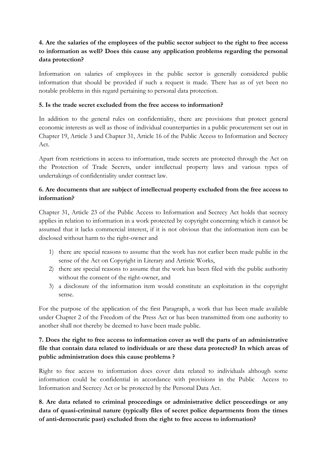## **4. Are the salaries of the employees of the public sector subject to the right to free access to information as well? Does this cause any application problems regarding the personal data protection?**

Information on salaries of employees in the public sector is generally considered public information that should be provided if such a request is made. There has as of yet been no notable problems in this regard pertaining to personal data protection.

### **5. Is the trade secret excluded from the free access to information?**

In addition to the general rules on confidentiality, there are provisions that protect general economic interests as well as those of individual counterparties in a public procurement set out in Chapter 19, Article 3 and Chapter 31, Article 16 of the Public Access to Information and Secrecy Act.

Apart from restrictions in access to information, trade secrets are protected through the Act on the Protection of Trade Secrets, under intellectual property laws and various types of undertakings of confidentiality under contract law.

## **6. Are documents that are subject of intellectual property excluded from the free access to information?**

Chapter 31, Article 23 of the Public Access to Information and Secrecy Act holds that secrecy applies in relation to information in a work protected by copyright concerning which it cannot be assumed that it lacks commercial interest, if it is not obvious that the information item can be disclosed without harm to the right-owner and

- 1) there are special reasons to assume that the work has not earlier been made public in the sense of the Act on Copyright in Literary and Artistic Works,
- 2) there are special reasons to assume that the work has been filed with the public authority without the consent of the right-owner, and
- 3) a disclosure of the information item would constitute an exploitation in the copyright sense.

For the purpose of the application of the first Paragraph, a work that has been made available under Chapter 2 of the Freedom of the Press Act or has been transmitted from one authority to another shall not thereby be deemed to have been made public.

## **7. Does the right to free access to information cover as well the parts of an administrative file that contain data related to individuals or are these data protected? In which areas of public administration does this cause problems ?**

Right to free access to information does cover data related to individuals although some information could be confidential in accordance with provisions in the Public Access to Information and Secrecy Act or be protected by the Personal Data Act.

**8. Are data related to criminal proceedings or administrative delict proceedings or any data of quasi-criminal nature (typically files of secret police departments from the times of anti-democratic past) excluded from the right to free access to information?**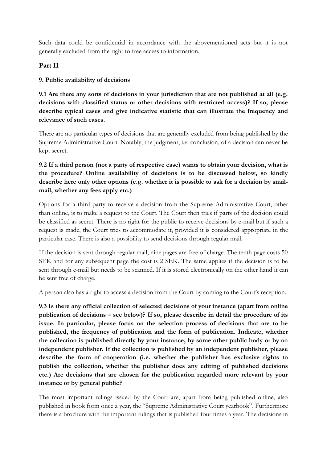Such data could be confidential in accordance with the abovementioned acts but it is not generally excluded from the right to free access to information.

#### **Part II**

### **9. Public availability of decisions**

**9.1 Are there any sorts of decisions in your jurisdiction that are not published at all (e.g. decisions with classified status or other decisions with restricted access)? If so, please describe typical cases and give indicative statistic that can illustrate the frequency and relevance of such cases.** 

There are no particular types of decisions that are generally excluded from being published by the Supreme Administrative Court. Notably, the judgment, i.e. conclusion, of a decision can never be kept secret.

## **9.2 If a third person (not a party of respective case) wants to obtain your decision, what is the procedure? Online availability of decisions is to be discussed below, so kindly describe here only other options (e.g. whether it is possible to ask for a decision by snailmail, whether any fees apply etc.)**

Options for a third party to receive a decision from the Supreme Administrative Court, other than online, is to make a request to the Court. The Court then tries if parts of the decision could be classified as secret. There is no right for the public to receive decisions by e-mail but if such a request is made, the Court tries to accommodate it, provided it is considered appropriate in the particular case. There is also a possibility to send decisions through regular mail.

If the decision is sent through regular mail, nine pages are free of charge. The tenth page costs 50 SEK and for any subsequent page the cost is 2 SEK. The same applies if the decision is to be sent through e-mail but needs to be scanned. If it is stored electronically on the other hand it can be sent free of charge.

A person also has a right to access a decision from the Court by coming to the Court's reception.

**9.3 Is there any official collection of selected decisions of your instance (apart from online publication of decisions – see below)? If so, please describe in detail the procedure of its issue. In particular, please focus on the selection process of decisions that are to be published, the frequency of publication and the form of publication. Indicate, whether the collection is published directly by your instance, by some other public body or by an independent publisher. If the collection is published by an independent publisher, please describe the form of cooperation (i.e. whether the publisher has exclusive rights to publish the collection, whether the publisher does any editing of published decisions etc.) Are decisions that are chosen for the publication regarded more relevant by your instance or by general public?**

The most important rulings issued by the Court are, apart from being published online, also published in book form once a year, the "Supreme Administrative Court yearbook". Furthermore there is a brochure with the important rulings that is published four times a year. The decisions in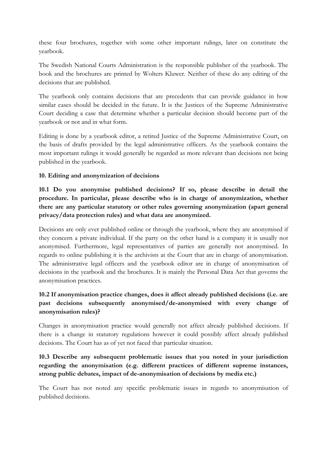these four brochures, together with some other important rulings, later on constitute the yearbook.

The Swedish National Courts Administration is the responsible publisher of the yearbook. The book and the brochures are printed by Wolters Kluwer. Neither of these do any editing of the decisions that are published.

The yearbook only contains decisions that are precedents that can provide guidance in how similar cases should be decided in the future. It is the Justices of the Supreme Administrative Court deciding a case that determine whether a particular decision should become part of the yearbook or not and in what form.

Editing is done by a yearbook editor, a retired Justice of the Supreme Administrative Court, on the basis of drafts provided by the legal administrative officers. As the yearbook contains the most important rulings it would generally be regarded as more relevant than decisions not being published in the yearbook.

#### **10. Editing and anonymization of decisions**

**10.1 Do you anonymise published decisions? If so, please describe in detail the procedure. In particular, please describe who is in charge of anonymization, whether there are any particular statutory or other rules governing anonymization (apart general privacy/data protection rules) and what data are anonymized.**

Decisions are only ever published online or through the yearbook, where they are anonymised if they concern a private individual. If the party on the other hand is a company it is usually not anonymised. Furthermore, legal representatives of parties are generally not anonymised. In regards to online publishing it is the archivists at the Court that are in charge of anonymisation. The administrative legal officers and the yearbook editor are in charge of anonymisation of decisions in the yearbook and the brochures. It is mainly the Personal Data Act that governs the anonymisation practices.

## **10.2 If anonymisation practice changes, does it affect already published decisions (i.e. are past decisions subsequently anonymised/de-anonymised with every change of anonymisation rules)?**

Changes in anonymisation practice would generally not affect already published decisions. If there is a change in statutory regulations however it could possibly affect already published decisions. The Court has as of yet not faced that particular situation.

## **10.3 Describe any subsequent problematic issues that you noted in your jurisdiction regarding the anonymisation (e.g. different practices of different supreme instances, strong public debates, impact of de-anonymisation of decisions by media etc.)**

The Court has not noted any specific problematic issues in regards to anonymisation of published decisions.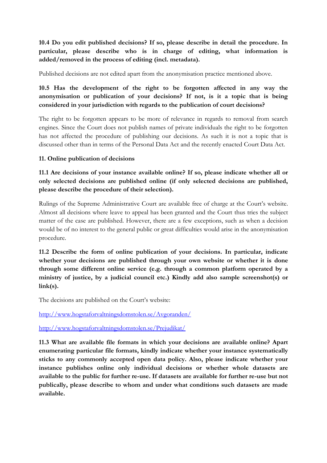**10.4 Do you edit published decisions? If so, please describe in detail the procedure. In particular, please describe who is in charge of editing, what information is added/removed in the process of editing (incl. metadata).**

Published decisions are not edited apart from the anonymisation practice mentioned above.

**10.5 Has the development of the right to be forgotten affected in any way the anonymisation or publication of your decisions? If not, is it a topic that is being considered in your jurisdiction with regards to the publication of court decisions?**

The right to be forgotten appears to be more of relevance in regards to removal from search engines. Since the Court does not publish names of private individuals the right to be forgotten has not affected the procedure of publishing our decisions. As such it is not a topic that is discussed other than in terms of the Personal Data Act and the recently enacted Court Data Act.

#### **11. Online publication of decisions**

**11.1 Are decisions of your instance available online? If so, please indicate whether all or only selected decisions are published online (if only selected decisions are published, please describe the procedure of their selection).**

Rulings of the Supreme Administrative Court are available free of charge at the Court's website. Almost all decisions where leave to appeal has been granted and the Court thus tries the subject matter of the case are published. However, there are a few exceptions, such as when a decision would be of no interest to the general public or great difficulties would arise in the anonymisation procedure.

**11.2 Describe the form of online publication of your decisions. In particular, indicate whether your decisions are published through your own website or whether it is done through some different online service (e.g. through a common platform operated by a ministry of justice, by a judicial council etc.) Kindly add also sample screenshot(s) or link(s).**

The decisions are published on the Court's website:

<http://www.hogstaforvaltningsdomstolen.se/Avgoranden/>

<http://www.hogstaforvaltningsdomstolen.se/Prejudikat/>

**11.3 What are available file formats in which your decisions are available online? Apart enumerating particular file formats, kindly indicate whether your instance systematically sticks to any commonly accepted open data policy. Also, please indicate whether your instance publishes online only individual decisions or whether whole datasets are available to the public for further re-use. If datasets are available for further re-use but not publically, please describe to whom and under what conditions such datasets are made available.**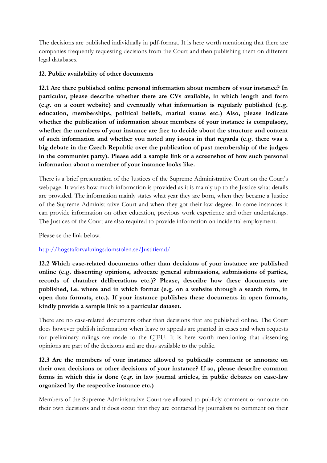The decisions are published individually in pdf-format. It is here worth mentioning that there are companies frequently requesting decisions from the Court and then publishing them on different legal databases.

#### **12. Public availability of other documents**

**12.1 Are there published online personal information about members of your instance? In particular, please describe whether there are CVs available, in which length and form (e.g. on a court website) and eventually what information is regularly published (e.g. education, memberships, political beliefs, marital status etc.) Also, please indicate whether the publication of information about members of your instance is compulsory, whether the members of your instance are free to decide about the structure and content of such information and whether you noted any issues in that regards (e.g. there was a big debate in the Czech Republic over the publication of past membership of the judges in the communist party). Please add a sample link or a screenshot of how such personal information about a member of your instance looks like.**

There is a brief presentation of the Justices of the Supreme Administrative Court on the Court's webpage. It varies how much information is provided as it is mainly up to the Justice what details are provided. The information mainly states what year they are born, when they became a Justice of the Supreme Administrative Court and when they got their law degree. In some instances it can provide information on other education, previous work experience and other undertakings. The Justices of the Court are also required to provide information on incidental employment.

Please se the link below.

#### <http://hogstaforvaltningsdomstolen.se/Justitierad/>

**12.2 Which case-related documents other than decisions of your instance are published online (e.g. dissenting opinions, advocate general submissions, submissions of parties, records of chamber deliberations etc.)? Please, describe how these documents are published, i.e. where and in which format (e.g. on a website through a search form, in open data formats, etc.). If your instance publishes these documents in open formats, kindly provide a sample link to a particular dataset.**

There are no case-related documents other than decisions that are published online. The Court does however publish information when leave to appeals are granted in cases and when requests for preliminary rulings are made to the CJEU. It is here worth mentioning that dissenting opinions are part of the decisions and are thus available to the public.

## **12.3 Are the members of your instance allowed to publically comment or annotate on their own decisions or other decisions of your instance? If so, please describe common forms in which this is done (e.g. in law journal articles, in public debates on case-law organized by the respective instance etc.)**

Members of the Supreme Administrative Court are allowed to publicly comment or annotate on their own decisions and it does occur that they are contacted by journalists to comment on their